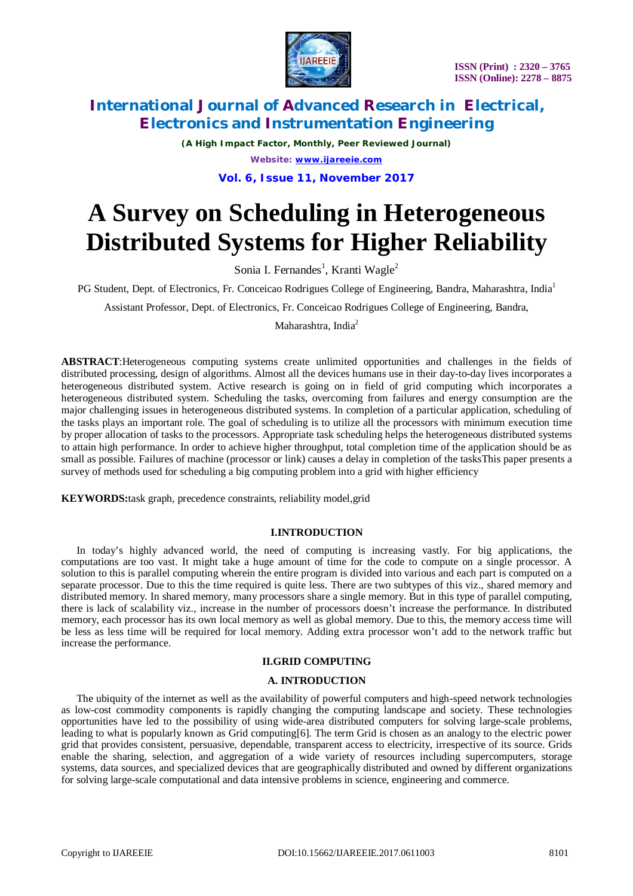

*(A High Impact Factor, Monthly, Peer Reviewed Journal) Website: [www.ijareeie.com](http://www.ijareeie.com)*

**Vol. 6, Issue 11, November 2017**

# **A Survey on Scheduling in Heterogeneous Distributed Systems for Higher Reliability**

Sonia I. Fernandes<sup>1</sup>, Kranti Wagle<sup>2</sup>

PG Student, Dept. of Electronics, Fr. Conceicao Rodrigues College of Engineering, Bandra, Maharashtra, India<sup>1</sup>

Assistant Professor, Dept. of Electronics, Fr. Conceicao Rodrigues College of Engineering, Bandra,

Maharashtra, India<sup>2</sup>

**ABSTRACT**:Heterogeneous computing systems create unlimited opportunities and challenges in the fields of distributed processing, design of algorithms. Almost all the devices humans use in their day-to-day lives incorporates a heterogeneous distributed system. Active research is going on in field of grid computing which incorporates a heterogeneous distributed system. Scheduling the tasks, overcoming from failures and energy consumption are the major challenging issues in heterogeneous distributed systems. In completion of a particular application, scheduling of the tasks plays an important role. The goal of scheduling is to utilize all the processors with minimum execution time by proper allocation of tasks to the processors. Appropriate task scheduling helps the heterogeneous distributed systems to attain high performance. In order to achieve higher throughput, total completion time of the application should be as small as possible. Failures of machine (processor or link) causes a delay in completion of the tasksThis paper presents a survey of methods used for scheduling a big computing problem into a grid with higher efficiency

**KEYWORDS:**task graph, precedence constraints, reliability model,grid

### **I.INTRODUCTION**

In today's highly advanced world, the need of computing is increasing vastly. For big applications, the computations are too vast. It might take a huge amount of time for the code to compute on a single processor. A solution to this is parallel computing wherein the entire program is divided into various and each part is computed on a separate processor. Due to this the time required is quite less. There are two subtypes of this viz., shared memory and distributed memory. In shared memory, many processors share a single memory. But in this type of parallel computing, there is lack of scalability viz., increase in the number of processors doesn't increase the performance. In distributed memory, each processor has its own local memory as well as global memory. Due to this, the memory access time will be less as less time will be required for local memory. Adding extra processor won't add to the network traffic but increase the performance.

### **II.GRID COMPUTING**

#### **A. INTRODUCTION**

The ubiquity of the internet as well as the availability of powerful computers and high-speed network technologies as low-cost commodity components is rapidly changing the computing landscape and society. These technologies opportunities have led to the possibility of using wide-area distributed computers for solving large-scale problems, leading to what is popularly known as Grid computing[6]. The term Grid is chosen as an analogy to the electric power grid that provides consistent, persuasive, dependable, transparent access to electricity, irrespective of its source. Grids enable the sharing, selection, and aggregation of a wide variety of resources including supercomputers, storage systems, data sources, and specialized devices that are geographically distributed and owned by different organizations for solving large-scale computational and data intensive problems in science, engineering and commerce.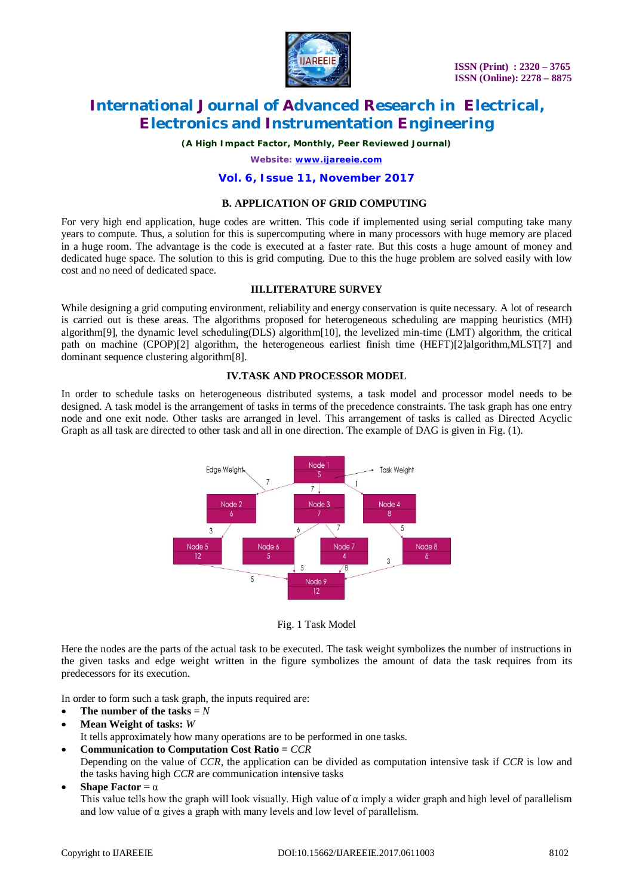

*(A High Impact Factor, Monthly, Peer Reviewed Journal)*

*Website: [www.ijareeie.com](http://www.ijareeie.com)*

#### **Vol. 6, Issue 11, November 2017**

#### **B. APPLICATION OF GRID COMPUTING**

For very high end application, huge codes are written. This code if implemented using serial computing take many years to compute. Thus, a solution for this is supercomputing where in many processors with huge memory are placed in a huge room. The advantage is the code is executed at a faster rate. But this costs a huge amount of money and dedicated huge space. The solution to this is grid computing. Due to this the huge problem are solved easily with low cost and no need of dedicated space.

#### **III.LITERATURE SURVEY**

While designing a grid computing environment, reliability and energy conservation is quite necessary. A lot of research is carried out is these areas. The algorithms proposed for heterogeneous scheduling are mapping heuristics (MH) algorithm[9], the dynamic level scheduling(DLS) algorithm[10], the levelized min-time (LMT) algorithm, the critical path on machine (CPOP)[2] algorithm, the heterogeneous earliest finish time (HEFT)[2]algorithm,MLST[7] and dominant sequence clustering algorithm[8].

#### **IV.TASK AND PROCESSOR MODEL**

In order to schedule tasks on heterogeneous distributed systems, a task model and processor model needs to be designed. A task model is the arrangement of tasks in terms of the precedence constraints. The task graph has one entry node and one exit node. Other tasks are arranged in level. This arrangement of tasks is called as Directed Acyclic Graph as all task are directed to other task and all in one direction. The example of DAG is given in Fig. (1).



Fig. 1 Task Model

Here the nodes are the parts of the actual task to be executed. The task weight symbolizes the number of instructions in the given tasks and edge weight written in the figure symbolizes the amount of data the task requires from its predecessors for its execution.

In order to form such a task graph, the inputs required are:

- The number of the tasks  $=N$
- **Mean Weight of tasks:** *W*

It tells approximately how many operations are to be performed in one tasks.

- **Communication to Computation Cost Ratio =** *CCR* Depending on the value of *CCR,* the application can be divided as computation intensive task if *CCR* is low and the tasks having high *CCR* are communication intensive tasks
- **Shape Factor** =  $\alpha$

This value tells how the graph will look visually. High value of  $\alpha$  imply a wider graph and high level of parallelism and low value of  $\alpha$  gives a graph with many levels and low level of parallelism.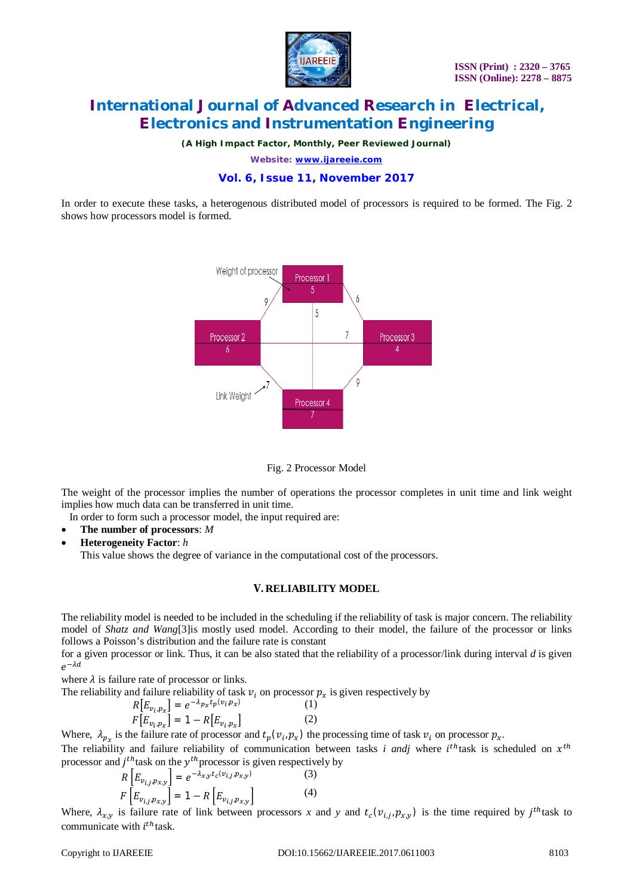

*(A High Impact Factor, Monthly, Peer Reviewed Journal)*

*Website: [www.ijareeie.com](http://www.ijareeie.com)*

### **Vol. 6, Issue 11, November 2017**

In order to execute these tasks, a heterogenous distributed model of processors is required to be formed. The Fig. 2 shows how processors model is formed.



Fig. 2 Processor Model

The weight of the processor implies the number of operations the processor completes in unit time and link weight implies how much data can be transferred in unit time.

In order to form such a processor model, the input required are:

- **The number of processors**: *M*
- **Heterogeneity Factor**: *h*  This value shows the degree of variance in the computational cost of the processors.

#### **V. RELIABILITY MODEL**

The reliability model is needed to be included in the scheduling if the reliability of task is major concern. The reliability model of *Shatz and Wang*[3]is mostly used model. According to their model, the failure of the processor or links follows a Poisson's distribution and the failure rate is constant

for a given processor or link. Thus, it can be also stated that the reliability of a processor/link during interval *d* is given  $e^{-\lambda d}$ 

where  $\lambda$  is failure rate of processor or links.

The reliability and failure reliability of task  $v_i$  on processor  $p_x$  is given respectively by

$$
R[E_{\nu_i, p_X}] = e^{-\lambda_{p_X} t_p(\nu_i, p_X)}
$$
(1)  

$$
F[E_{\nu_i, p_X}] = 1 - R[E_{\nu_i, p_X}]
$$
(2)

Where,  $\lambda_{p_x}$  is the failure rate of processor and  $t_p(v_i, p_x)$  the processing time of task  $v_i$  on processor  $p_x$ .

The reliability and failure reliability of communication between tasks *i andj* where  $i^{th}$ task is scheduled on  $x^{th}$ processor and  $j<sup>th</sup>$  task on the  $y<sup>th</sup>$  processor is given respectively by

$$
R\left[E_{v_{i,j},p_{x,y}}\right] = e^{-\lambda_{x,y}t_c(v_{i,j},p_{x,y})}
$$
(3)  

$$
F\left[E_{v_{i,j},p_{x,y}}\right] = 1 - R\left[E_{v_{i,j},p_{x,y}}\right]
$$
(4)

Where,  $\lambda_{x,y}$  is failure rate of link between processors *x* and *y* and  $t_c(v_{i,j}, p_{x,y})$  is the time required by  $j^{th}$  task to communicate with  $i^{th}$  task.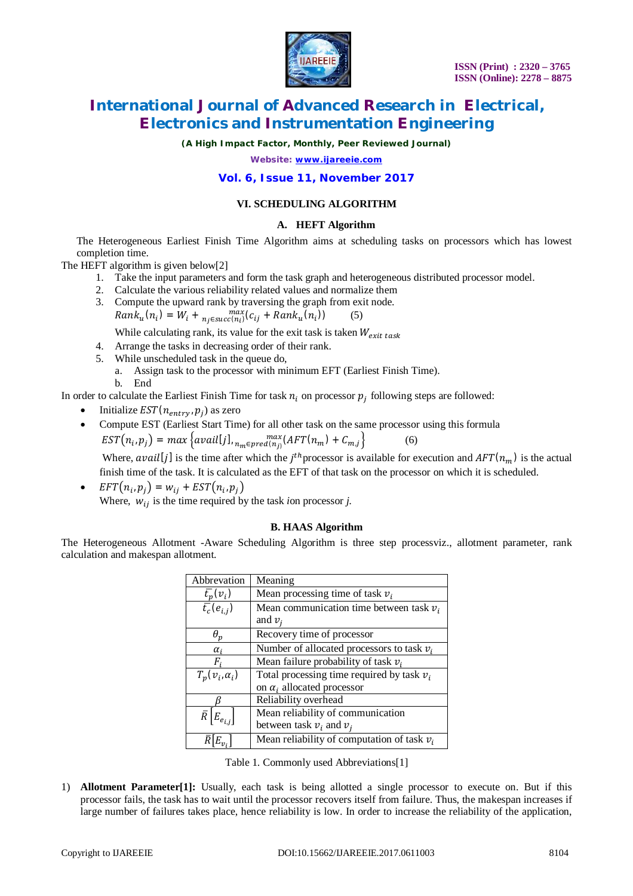

*(A High Impact Factor, Monthly, Peer Reviewed Journal)*

*Website: [www.ijareeie.com](http://www.ijareeie.com)*

### **Vol. 6, Issue 11, November 2017**

### **VI. SCHEDULING ALGORITHM**

### **A. HEFT Algorithm**

The Heterogeneous Earliest Finish Time Algorithm aims at scheduling tasks on processors which has lowest completion time.

The HEFT algorithm is given below[2]

- 1. Take the input parameters and form the task graph and heterogeneous distributed processor model.
- 2. Calculate the various reliability related values and normalize them
- 3. Compute the upward rank by traversing the graph from exit node.  $Rank_u(n_i) = W_i + \max_{n_j \in succ(n_i)}(c_{ij} + Rank_u(n_i))$  (5) While calculating rank, its value for the exit task is taken  $W_{\text{crit task}}$

4. Arrange the tasks in decreasing order of their rank.

- 5. While unscheduled task in the queue do,
	- a. Assign task to the processor with minimum EFT (Earliest Finish Time).
	- b. End

In order to calculate the Earliest Finish Time for task  $n_i$  on processor  $p_j$  following steps are followed:

- Initialize  $EST(n_{entry}, p_j)$  as zero
- Compute EST (Earliest Start Time) for all other task on the same processor using this formula  $EST(n_i, p_j) = max\big\{avail[j], \min_{n_m \in pred(n_j)} (AFT(n_m) + C_{m,j}\big\}$  (6)

Where, avail [j] is the time after which the j<sup>th</sup> processor is available for execution and  $AFT(n_m)$  is the actual finish time of the task. It is calculated as the EFT of that task on the processor on which it is scheduled.

•  $EFT(n_i, p_j) = w_{ij} + EST(n_i, p_j)$ Where,  $w_{ij}$  is the time required by the task *i*on processor *j*.

### **B. HAAS Algorithm**

The Heterogeneous Allotment -Aware Scheduling Algorithm is three step processviz., allotment parameter, rank calculation and makespan allotment.

| Abbrevation                              | Meaning                                       |  |  |
|------------------------------------------|-----------------------------------------------|--|--|
| $\bar{t}_p(v_i)$                         | Mean processing time of task $v_i$            |  |  |
| $\overline{\bar{t}_c}(e_{i,j})$          | Mean communication time between task $v_i$    |  |  |
|                                          | and $v_i$                                     |  |  |
| $\theta_p$                               | Recovery time of processor                    |  |  |
| $\alpha_i$                               | Number of allocated processors to task $v_i$  |  |  |
| F,                                       | Mean failure probability of task $v_i$        |  |  |
| $T_n(v_i,\alpha_i)$                      | Total processing time required by task $v_i$  |  |  |
|                                          | on $\alpha_i$ allocated processor             |  |  |
|                                          | Reliability overhead                          |  |  |
| $\bar{R}$<br>$\mathfrak{l}E_{e_{i,j}}$ , | Mean reliability of communication             |  |  |
|                                          | between task $v_i$ and $v_i$                  |  |  |
|                                          | Mean reliability of computation of task $v_i$ |  |  |

Table 1. Commonly used Abbreviations[1]

1) **Allotment Parameter[1]:** Usually, each task is being allotted a single processor to execute on. But if this processor fails, the task has to wait until the processor recovers itself from failure. Thus, the makespan increases if large number of failures takes place, hence reliability is low. In order to increase the reliability of the application,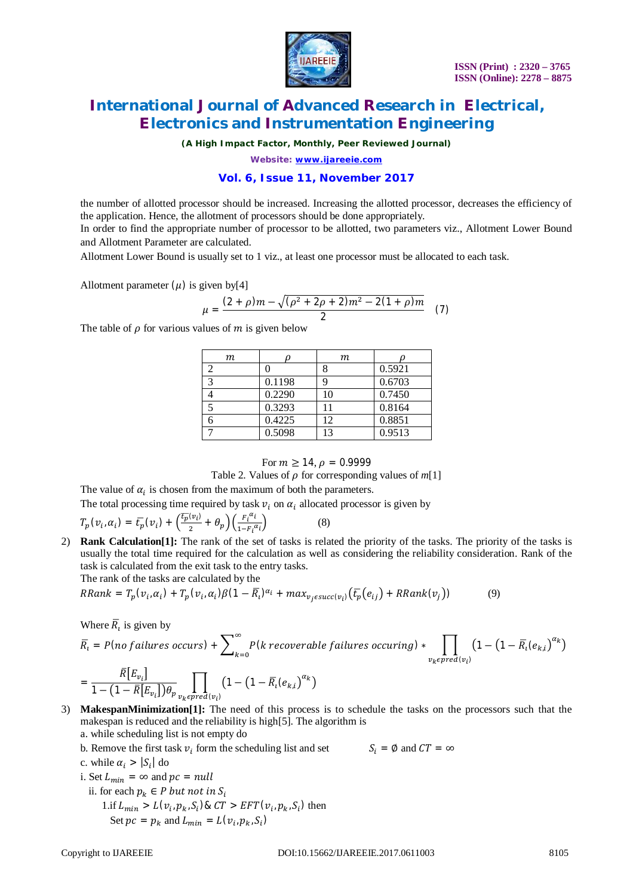

*(A High Impact Factor, Monthly, Peer Reviewed Journal)*

*Website: [www.ijareeie.com](http://www.ijareeie.com)*

### **Vol. 6, Issue 11, November 2017**

the number of allotted processor should be increased. Increasing the allotted processor, decreases the efficiency of the application. Hence, the allotment of processors should be done appropriately. In order to find the appropriate number of processor to be allotted, two parameters viz., Allotment Lower Bound and Allotment Parameter are calculated.

Allotment Lower Bound is usually set to 1 viz., at least one processor must be allocated to each task.

Allotment parameter  $(\mu)$  is given by[4]

$$
\mu = \frac{(2+\rho)m - \sqrt{(\rho^2 + 2\rho + 2)m^2 - 2(1+\rho)m}}{2} \quad (7)
$$

The table of  $\rho$  for various values of  $m$  is given below

| m                        |        | т  |        |
|--------------------------|--------|----|--------|
| ↑                        |        |    | 0.5921 |
| $\mathbf{c}$             | 0.1198 |    | 0.6703 |
|                          | 0.2290 | 10 | 0.7450 |
| $\overline{\mathcal{L}}$ | 0.3293 |    | 0.8164 |
|                          | 0.4225 | 12 | 0.8851 |
|                          | 0.5098 | 13 | 0.9513 |

#### For  $m > 14$ ,  $\rho = 0.9999$

Table 2. Values of  $\rho$  for corresponding values of  $m[1]$ 

The value of  $\alpha_i$  is chosen from the maximum of both the parameters.

The total processing time required by task  $v_i$  on  $\alpha_i$  allocated processor is given by

$$
T_p(\nu_i, \alpha_i) = \overline{t}_p(\nu_i) + \left(\frac{\overline{t}_p(\nu_i)}{2} + \theta_p\right) \left(\frac{F_i^{\alpha_i}}{1 - F_i^{\alpha_i}}\right) \tag{8}
$$

2) **Rank Calculation[1]:** The rank of the set of tasks is related the priority of the tasks. The priority of the tasks is usually the total time required for the calculation as well as considering the reliability consideration. Rank of the task is calculated from the exit task to the entry tasks. e rank of the tasks are calculated b

$$
RRank = T_p(v_i, \alpha_i) + T_p(v_i, \alpha_i)\beta(1 - \overline{R}_i)^{\alpha_i} + \max_{v_j \in succ(v_i)} (\overline{t_p}(e_{ij}) + RRank(v_j))
$$
(9)

Where  $\overline{R}_i$  is given by

$$
\overline{R}_{i} = P(no failures occurs) + \sum_{k=0}^{\infty} P(k recoverable failures occurring) * \prod_{v_{k} \in pred(v_{i})} (1 - (1 - \overline{R}_{i}(e_{k,i})^{\alpha_{k}}))
$$
\n
$$
= \frac{\overline{R}[E_{v_{i}}]}{1 - (1 - \overline{R}[E_{v_{i}}])\theta_{v_{k}}}\prod_{v_{k} \in pred(v_{i})} (1 - (1 - \overline{R}_{i}(e_{k,i})^{\alpha_{k}}))
$$

- 3) **MakespanMinimization[1]:** The need of this process is to schedule the tasks on the processors such that the makespan is reduced and the reliability is high[5]. The algorithm is
	- a. while scheduling list is not empty do
	- b. Remove the first task  $v_i$  form the scheduling list and set  $S_i = \emptyset$  and  $CT = \infty$

c. while 
$$
\alpha_i > |S_i|
$$
 do

- i. Set  $L_{min} = \infty$  and  $pc = null$ 
	- ii. for each  $p_k \in P$  but not in  $S_i$
- $1$ .if  $L_{min} > L(v_i, p_k, S_i)$  &  $CT > EFT(v_i, p_k, S_i)$  then Set  $pc = p_k$  and  $L_{min} = L(v_i, p_k, S_i)$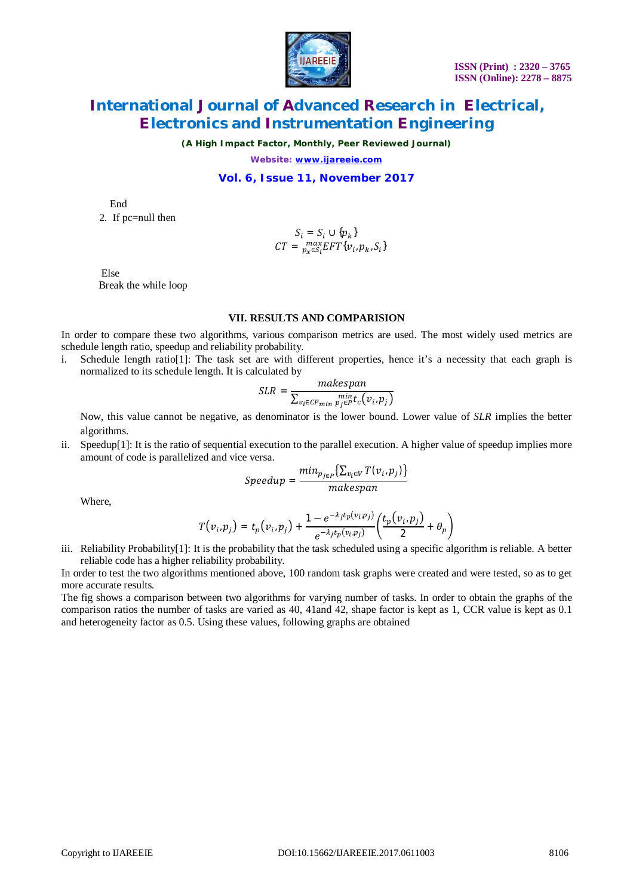

*(A High Impact Factor, Monthly, Peer Reviewed Journal)*

*Website: [www.ijareeie.com](http://www.ijareeie.com)*

#### **Vol. 6, Issue 11, November 2017**

End

2. If pc=null then

$$
\begin{aligned} S_i &= S_i \cup \{p_k\} \\ CT &= \max_{p_x \in S_i} EFT\{v_i, p_k, S_i\} \end{aligned}
$$

 Else Break the while loop

### **VII. RESULTS AND COMPARISION**

In order to compare these two algorithms, various comparison metrics are used. The most widely used metrics are schedule length ratio, speedup and reliability probability.

i. Schedule length ratio[1]: The task set are with different properties, hence it's a necessity that each graph is normalized to its schedule length. It is calculated by

$$
SLR = \frac{makespan}{\sum_{v_i \in CP_{min}} \min_{p_j \in P} t_c(v_i, p_j)}
$$

Now, this value cannot be negative, as denominator is the lower bound. Lower value of *SLR* implies the better algorithms.

ii. Speedup[1]: It is the ratio of sequential execution to the parallel execution. A higher value of speedup implies more amount of code is parallelized and vice versa.

$$
Speedup = \frac{min_{p_{j\in P}}\left\{\sum_{v_i \in V} T(v_i, p_j)\right\}}{makespan}
$$

Where,

$$
T(v_i, p_j) = t_p(v_i, p_j) + \frac{1 - e^{-\lambda_j t_p(v_i, p_j)}}{e^{-\lambda_j t_p(v_i, p_j)}} \left(\frac{t_p(v_i, p_j)}{2} + \theta_p\right)
$$

iii. Reliability Probability[1]: It is the probability that the task scheduled using a specific algorithm is reliable. A better reliable code has a higher reliability probability.

In order to test the two algorithms mentioned above, 100 random task graphs were created and were tested, so as to get more accurate results.

The fig shows a comparison between two algorithms for varying number of tasks. In order to obtain the graphs of the comparison ratios the number of tasks are varied as 40, 41and 42, shape factor is kept as 1, CCR value is kept as 0.1 and heterogeneity factor as 0.5. Using these values, following graphs are obtained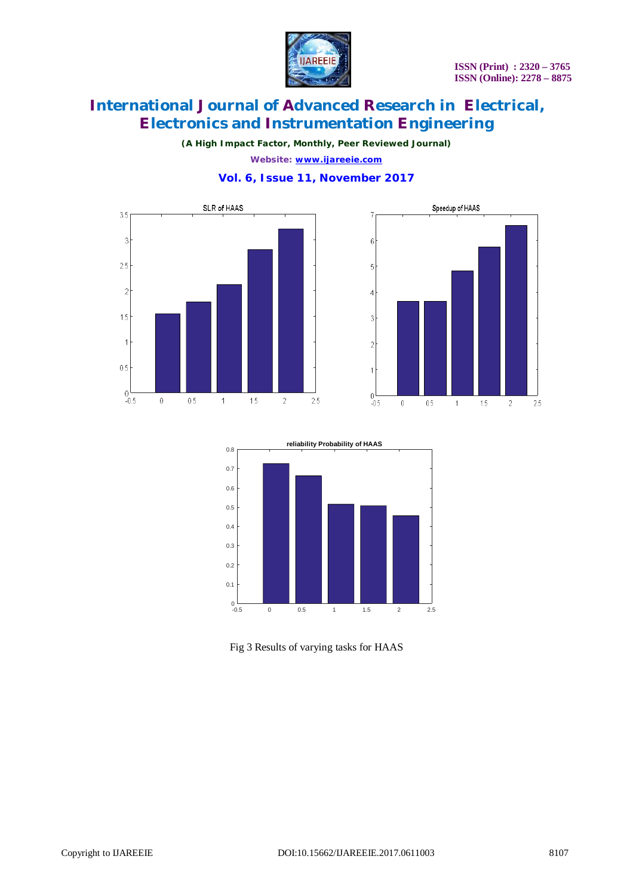

*(A High Impact Factor, Monthly, Peer Reviewed Journal)*

*Website: [www.ijareeie.com](http://www.ijareeie.com)* **Vol. 6, Issue 11, November 2017**







Fig 3 Results of varying tasks for HAAS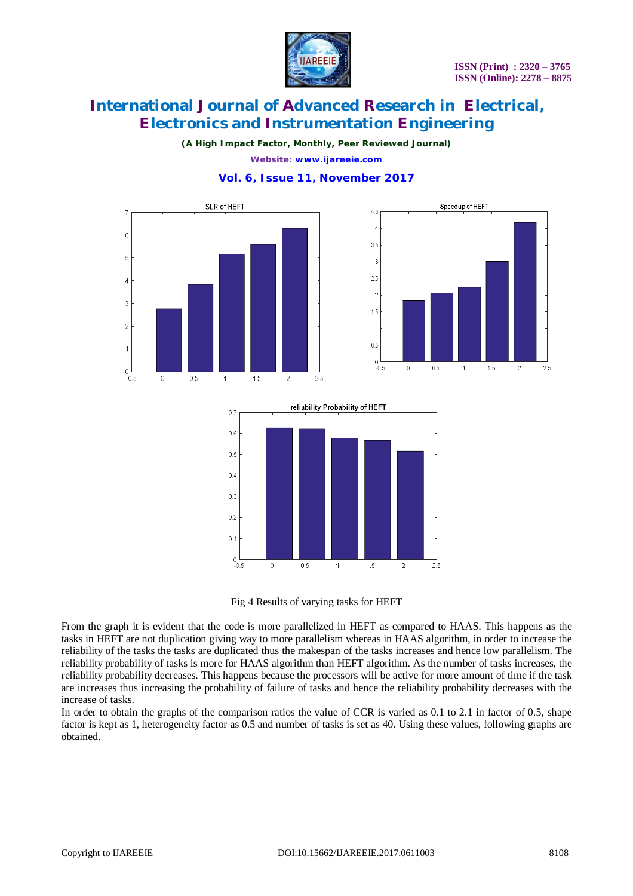

 $1.5$ 

 $\overline{2}$ 

 $\frac{1}{2.5}$ 

# **International Journal of Advanced Research in Electrical, Electronics and Instrumentation Engineering**

*(A High Impact Factor, Monthly, Peer Reviewed Journal)*

*Website: [www.ijareeie.com](http://www.ijareeie.com)*



**Vol. 6, Issue 11, November 2017**



Fig 4 Results of varying tasks for HEFT

From the graph it is evident that the code is more parallelized in HEFT as compared to HAAS. This happens as the tasks in HEFT are not duplication giving way to more parallelism whereas in HAAS algorithm, in order to increase the reliability of the tasks the tasks are duplicated thus the makespan of the tasks increases and hence low parallelism. The reliability probability of tasks is more for HAAS algorithm than HEFT algorithm. As the number of tasks increases, the reliability probability decreases. This happens because the processors will be active for more amount of time if the task are increases thus increasing the probability of failure of tasks and hence the reliability probability decreases with the increase of tasks.

In order to obtain the graphs of the comparison ratios the value of CCR is varied as 0.1 to 2.1 in factor of 0.5, shape factor is kept as 1, heterogeneity factor as 0.5 and number of tasks is set as 40. Using these values, following graphs are obtained.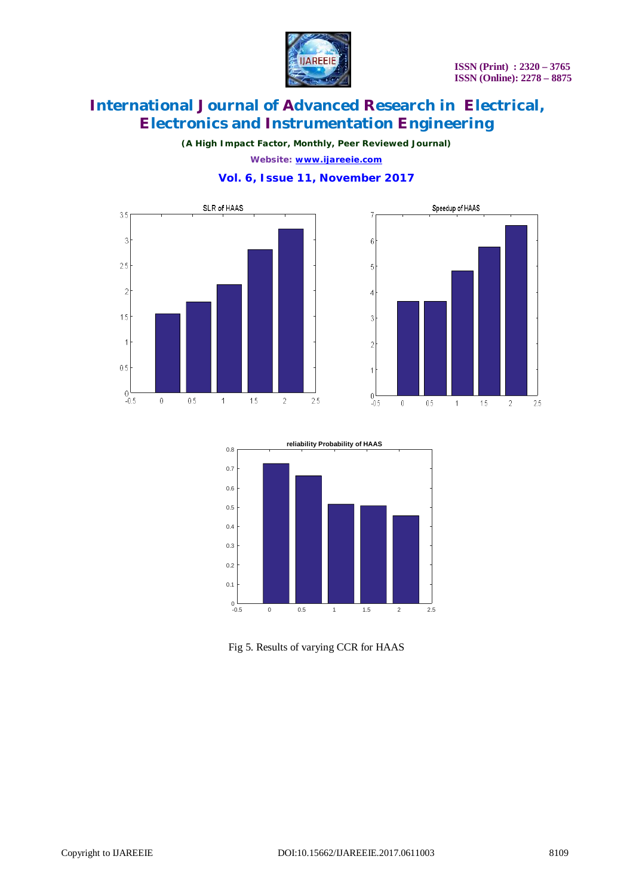

*(A High Impact Factor, Monthly, Peer Reviewed Journal)*

*Website: [www.ijareeie.com](http://www.ijareeie.com)* **Vol. 6, Issue 11, November 2017**







Fig 5. Results of varying CCR for HAAS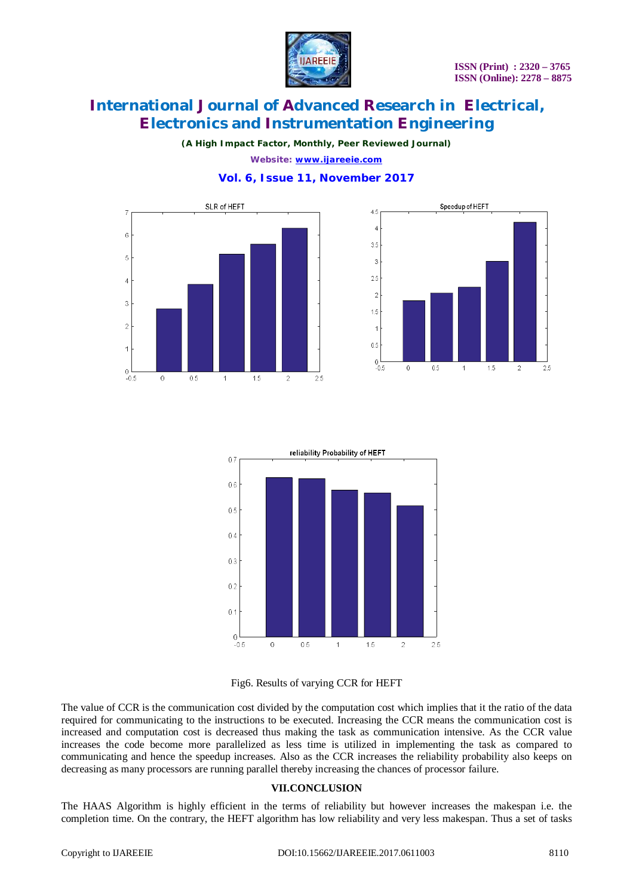

*(A High Impact Factor, Monthly, Peer Reviewed Journal)*

*Website: [www.ijareeie.com](http://www.ijareeie.com)* **Vol. 6, Issue 11, November 2017**









The value of CCR is the communication cost divided by the computation cost which implies that it the ratio of the data required for communicating to the instructions to be executed. Increasing the CCR means the communication cost is increased and computation cost is decreased thus making the task as communication intensive. As the CCR value increases the code become more parallelized as less time is utilized in implementing the task as compared to communicating and hence the speedup increases. Also as the CCR increases the reliability probability also keeps on decreasing as many processors are running parallel thereby increasing the chances of processor failure.

### **VII.CONCLUSION**

The HAAS Algorithm is highly efficient in the terms of reliability but however increases the makespan i.e. the completion time. On the contrary, the HEFT algorithm has low reliability and very less makespan. Thus a set of tasks